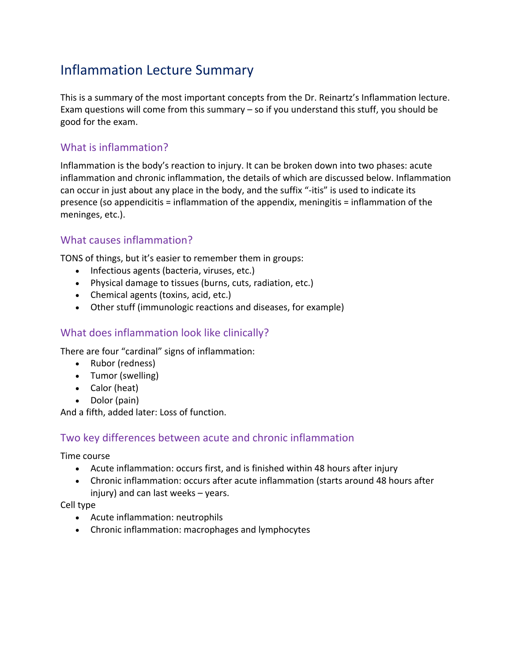# Inflammation Lecture Summary

This is a summary of the most important concepts from the Dr. Reinartz's Inflammation lecture. Exam questions will come from this summary – so if you understand this stuff, you should be good for the exam.

## What is inflammation?

Inflammation is the body's reaction to injury. It can be broken down into two phases: acute inflammation and chronic inflammation, the details of which are discussed below. Inflammation can occur in just about any place in the body, and the suffix "-itis" is used to indicate its presence (so appendicitis = inflammation of the appendix, meningitis = inflammation of the meninges, etc.).

## What causes inflammation?

TONS of things, but it's easier to remember them in groups:

- Infectious agents (bacteria, viruses, etc.)
- Physical damage to tissues (burns, cuts, radiation, etc.)
- Chemical agents (toxins, acid, etc.)
- Other stuff (immunologic reactions and diseases, for example)

## What does inflammation look like clinically?

There are four "cardinal" signs of inflammation:

- Rubor (redness)
- Tumor (swelling)
- Calor (heat)
- Dolor (pain)

And a fifth, added later: Loss of function.

## Two key differences between acute and chronic inflammation

Time course

- Acute inflammation: occurs first, and is finished within 48 hours after injury
- Chronic inflammation: occurs after acute inflammation (starts around 48 hours after injury) and can last weeks – years.

#### Cell type

- Acute inflammation: neutrophils
- Chronic inflammation: macrophages and lymphocytes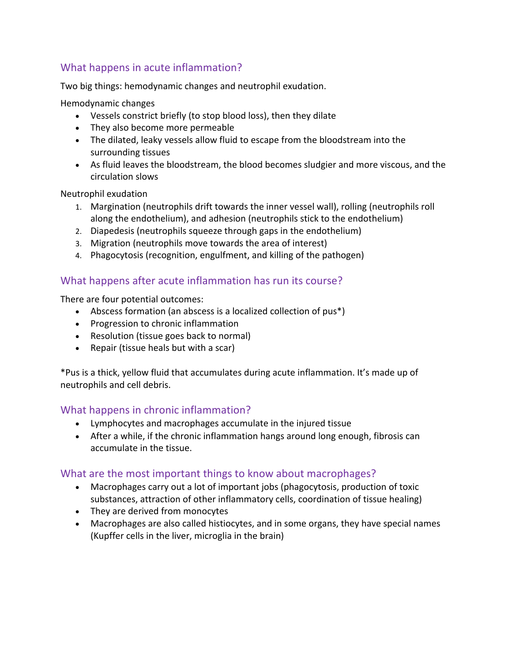## What happens in acute inflammation?

Two big things: hemodynamic changes and neutrophil exudation.

Hemodynamic changes

- Vessels constrict briefly (to stop blood loss), then they dilate
- They also become more permeable
- The dilated, leaky vessels allow fluid to escape from the bloodstream into the surrounding tissues
- As fluid leaves the bloodstream, the blood becomes sludgier and more viscous, and the circulation slows

Neutrophil exudation

- 1. Margination (neutrophils drift towards the inner vessel wall), rolling (neutrophils roll along the endothelium), and adhesion (neutrophils stick to the endothelium)
- 2. Diapedesis (neutrophils squeeze through gaps in the endothelium)
- 3. Migration (neutrophils move towards the area of interest)
- 4. Phagocytosis (recognition, engulfment, and killing of the pathogen)

## What happens after acute inflammation has run its course?

There are four potential outcomes:

- Abscess formation (an abscess is a localized collection of pus\*)
- Progression to chronic inflammation
- Resolution (tissue goes back to normal)
- Repair (tissue heals but with a scar)

\*Pus is a thick, yellow fluid that accumulates during acute inflammation. It's made up of neutrophils and cell debris.

## What happens in chronic inflammation?

- Lymphocytes and macrophages accumulate in the injured tissue
- After a while, if the chronic inflammation hangs around long enough, fibrosis can accumulate in the tissue.

## What are the most important things to know about macrophages?

- Macrophages carry out a lot of important jobs (phagocytosis, production of toxic substances, attraction of other inflammatory cells, coordination of tissue healing)
- They are derived from monocytes
- Macrophages are also called histiocytes, and in some organs, they have special names (Kupffer cells in the liver, microglia in the brain)